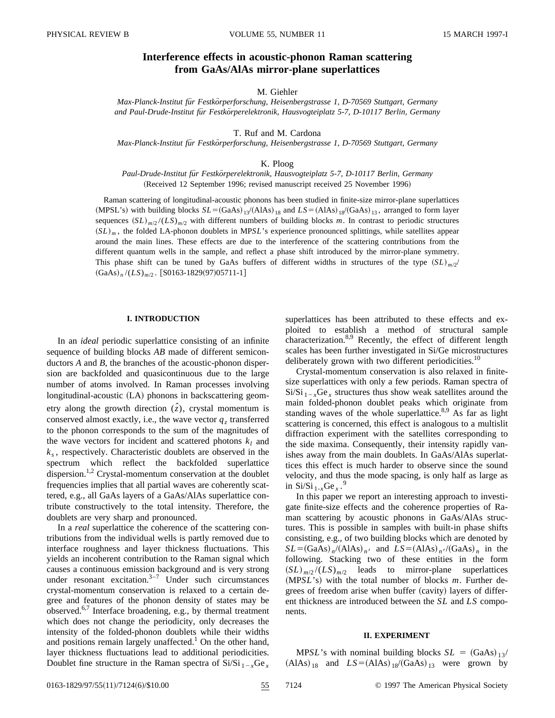# **Interference effects in acoustic-phonon Raman scattering from GaAs/AlAs mirror-plane superlattices**

## M. Giehler

*Max-Planck-Institut fu¨r Festko¨rperforschung, Heisenbergstrasse 1, D-70569 Stuttgart, Germany and Paul-Drude-Institut fu¨r Festko¨rperelektronik, Hausvogteiplatz 5-7, D-10117 Berlin, Germany*

T. Ruf and M. Cardona

*Max-Planck-Institut fu¨r Festko¨rperforschung, Heisenbergstrasse 1, D-70569 Stuttgart, Germany*

K. Ploog

*Paul-Drude-Institut fu¨r Festko¨rperelektronik, Hausvogteiplatz 5-7, D-10117 Berlin, Germany* (Received 12 September 1996; revised manuscript received 25 November 1996)

Raman scattering of longitudinal-acoustic phonons has been studied in finite-size mirror-plane superlattices  $(MPSL's)$  with building blocks  $SL = (GaAs)_{13}/(A1As)_{18}$  and  $LS = (AlAs)_{18}/(GaAs)_{13}$ , arranged to form layer sequences  $(SL)_{m/2}$  /( $LS$ )<sub>*m*/2</sub> with different numbers of building blocks *m*. In contrast to periodic structures  $(SL)_m$ , the folded LA-phonon doublets in MP*SL*'s experience pronounced splittings, while satellites appear around the main lines. These effects are due to the interference of the scattering contributions from the different quantum wells in the sample, and reflect a phase shift introduced by the mirror-plane symmetry. This phase shift can be tuned by GaAs buffers of different widths in structures of the type  $(SL)_{m/2}$  ${(\text{GaAs})_{n}/(LS)_{m/2}}$ . [S0163-1829(97)05711-1]

## **I. INTRODUCTION**

In an *ideal* periodic superlattice consisting of an infinite sequence of building blocks *AB* made of different semiconductors *A* and *B*, the branches of the acoustic-phonon dispersion are backfolded and quasicontinuous due to the large number of atoms involved. In Raman processes involving  $longitudinal-acoustic$   $(LA)$  phonons in backscattering geometry along the growth direction  $(\hat{z})$ , crystal momentum is conserved almost exactly, i.e., the wave vector  $q_z$  transferred to the phonon corresponds to the sum of the magnitudes of the wave vectors for incident and scattered photons  $k_l$  and  $k<sub>s</sub>$ , respectively. Characteristic doublets are observed in the spectrum which reflect the backfolded superlattice dispersion.<sup>1,2</sup> Crystal-momentum conservation at the doublet frequencies implies that all partial waves are coherently scattered, e.g., all GaAs layers of a GaAs/AlAs superlattice contribute constructively to the total intensity. Therefore, the doublets are very sharp and pronounced.

In a *real* superlattice the coherence of the scattering contributions from the individual wells is partly removed due to interface roughness and layer thickness fluctuations. This yields an incoherent contribution to the Raman signal which causes a continuous emission background and is very strong under resonant excitation. $3-7$  Under such circumstances crystal-momentum conservation is relaxed to a certain degree and features of the phonon density of states may be observed.6,7 Interface broadening, e.g., by thermal treatment which does not change the periodicity, only decreases the intensity of the folded-phonon doublets while their widths and positions remain largely unaffected.<sup>1</sup> On the other hand, layer thickness fluctuations lead to additional periodicities. Doublet fine structure in the Raman spectra of  $Si/Si_{1-x}Ge_x$  superlattices has been attributed to these effects and exploited to establish a method of structural sample characterization.<sup>8,9</sup> Recently, the effect of different length scales has been further investigated in Si/Ge microstructures deliberately grown with two different periodicities.<sup>10</sup>

Crystal-momentum conservation is also relaxed in finitesize superlattices with only a few periods. Raman spectra of  $Si/Si_{1-x}Ge_x$  structures thus show weak satellites around the main folded-phonon doublet peaks which originate from standing waves of the whole superlattice. $8,9$  As far as light scattering is concerned, this effect is analogous to a multislit diffraction experiment with the satellites corresponding to the side maxima. Consequently, their intensity rapidly vanishes away from the main doublets. In GaAs/AlAs superlattices this effect is much harder to observe since the sound velocity, and thus the mode spacing, is only half as large as in Si/Si  $_{1-x}$ Ge<sub>x</sub>.<sup>9</sup>

In this paper we report an interesting approach to investigate finite-size effects and the coherence properties of Raman scattering by acoustic phonons in GaAs/AlAs structures. This is possible in samples with built-in phase shifts consisting, e.g., of two building blocks which are denoted by  $SL = (GaAs)_{n}/(AIs)_{n'}$  and  $LS = (AlAs)_{n'}/(GaAs)_{n}$  in the following. Stacking two of these entities in the form  $(SL)_{m/2} / (LS)_{m/2}$  leads to mirror-plane superlattices (MP*SL*'s) with the total number of blocks *m*. Further degrees of freedom arise when buffer (cavity) layers of different thickness are introduced between the *SL* and *LS* components.

#### **II. EXPERIMENT**

MP*SL*'s with nominal building blocks  $SL = (GaAs)_{13}/$  $(AIAs)_{18}$  and  $LS=(AIAs)_{18}/(GaAs)_{13}$  were grown by

0163-1829/97/55(11)/7124(6)/\$10.00 55 7124 © 1997 The American Physical Society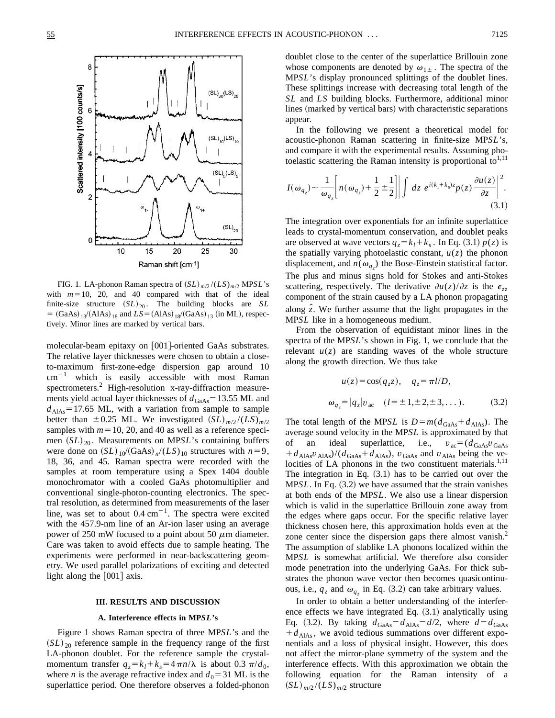

FIG. 1. LA-phonon Raman spectra of  $(SL)_{m/2} / (LS)_{m/2}$  MP*SL*'s with  $m=10$ , 20, and 40 compared with that of the ideal finite-size structure  $(SL)_{20}$ . The building blocks are *SL*  $=$  (GaAs)  $_{13}$ /(AlAs)  $_{18}$  and  $LS = (AIAs)_{18}$ /(GaAs)  $_{13}$  (in ML), respectively. Minor lines are marked by vertical bars.

molecular-beam epitaxy on [001]-oriented GaAs substrates. The relative layer thicknesses were chosen to obtain a closeto-maximum first-zone-edge dispersion gap around 10  $cm^{-1}$  which is easily accessible with most Raman spectrometers.2 High-resolution x-ray-diffraction measurements yield actual layer thicknesses of  $d_{\text{GaAs}}$ =13.55 ML and  $d_{AIAs}$ =17.65 ML, with a variation from sample to sample better than  $\pm 0.25$  ML. We investigated  $(SL)_{m/2} / (LS)_{m/2}$ samples with  $m=10, 20,$  and 40 as well as a reference specimen  $(SL)_{20}$ . Measurements on MP*SL*'s containing buffers were done on  $(SL)_{10}/(GaAs)_{n}/(LS)_{10}$  structures with  $n=9$ , 18, 36, and 45. Raman spectra were recorded with the samples at room temperature using a Spex 1404 double monochromator with a cooled GaAs photomultiplier and conventional single-photon-counting electronics. The spectral resolution, as determined from measurements of the laser line, was set to about  $0.4 \text{ cm}^{-1}$ . The spectra were excited with the 457.9-nm line of an Ar-ion laser using an average power of 250 mW focused to a point about 50  $\mu$ m diameter. Care was taken to avoid effects due to sample heating. The experiments were performed in near-backscattering geometry. We used parallel polarizations of exciting and detected light along the  $|001|$  axis.

#### **III. RESULTS AND DISCUSSION**

## **A. Interference effects in MP***SL***'s**

Figure 1 shows Raman spectra of three MP*SL*'s and the  $(SL)_{20}$  reference sample in the frequency range of the first LA-phonon doublet. For the reference sample the crystalmomentum transfer  $q_z = k_l + k_s = 4 \pi n/\lambda$  is about 0.3  $\pi/d_0$ , where *n* is the average refractive index and  $d_0 = 31$  ML is the superlattice period. One therefore observes a folded-phonon doublet close to the center of the superlattice Brillouin zone whose components are denoted by  $\omega_{1\pm}$ . The spectra of the MP*SL*'s display pronounced splittings of the doublet lines. These splittings increase with decreasing total length of the *SL* and *LS* building blocks. Furthermore, additional minor lines (marked by vertical bars) with characteristic separations appear.

In the following we present a theoretical model for acoustic-phonon Raman scattering in finite-size MP*SL*'s, and compare it with the experimental results. Assuming photoelastic scattering the Raman intensity is proportional to $1,11$ 

$$
I(\omega_{q_z}) \sim \frac{1}{\omega_{q_z}} \left[ n(\omega_{q_z}) + \frac{1}{2} \pm \frac{1}{2} \right] \left| \int dz \ e^{i(k_1 + k_s)z} p(z) \frac{\partial u(z)}{\partial z} \right|^2.
$$
\n(3.1)

The integration over exponentials for an infinite superlattice leads to crystal-momentum conservation, and doublet peaks are observed at wave vectors  $q_z = k_l + k_s$ . In Eq. (3.1)  $p(z)$  is the spatially varying photoelastic constant,  $u(z)$  the phonon displacement, and  $n(\omega_{q_z})$  the Bose-Einstein statistical factor. The plus and minus signs hold for Stokes and anti-Stokes scattering, respectively. The derivative  $\partial u(z)/\partial z$  is the  $\epsilon_{zz}$ component of the strain caused by a LA phonon propagating along *z ˆ*. We further assume that the light propagates in the MP*SL* like in a homogeneous medium.

From the observation of equidistant minor lines in the spectra of the MP*SL*'s shown in Fig. 1, we conclude that the relevant  $u(z)$  are standing waves of the whole structure along the growth direction. We thus take

$$
u(z) = \cos(q_z z), \quad q_z = \pi l/D,
$$
  

$$
\omega_{q_z} = |q_z| v_{ac} \quad (l = \pm 1, \pm 2, \pm 3, ...).
$$
 (3.2)

The total length of the MP*SL* is  $D = m(d_{\text{GaAs}} + d_{\text{AlAs}})$ . The average sound velocity in the MP*SL* is approximated by that of an ideal superlattice, i.e.,  $v_{ac} = (d_{\text{GaAs}}v_{\text{GaAs}})$  $+ d_{\text{AlAs}} v_{\text{AlAs}} / (d_{\text{GaAs}} + d_{\text{AlAs}})$ ,  $v_{\text{GaAs}}$  and  $v_{\text{AlAs}}$  being the velocities of LA phonons in the two constituent materials.<sup>1,11</sup> The integration in Eq.  $(3.1)$  has to be carried out over the MP*SL*. In Eq. (3.2) we have assumed that the strain vanishes at both ends of the MP*SL*. We also use a linear dispersion which is valid in the superlattice Brillouin zone away from the edges where gaps occur. For the specific relative layer thickness chosen here, this approximation holds even at the zone center since the dispersion gaps there almost vanish.<sup>2</sup> The assumption of slablike LA phonons localized within the MP*SL* is somewhat artificial. We therefore also consider mode penetration into the underlying GaAs. For thick substrates the phonon wave vector then becomes quasicontinuous, i.e.,  $q_z$  and  $\omega_{q_z}$  in Eq. (3.2) can take arbitrary values.

In order to obtain a better understanding of the interference effects we have integrated Eq.  $(3.1)$  analytically using Eq. (3.2). By taking  $d_{\text{GaAs}} = d_{\text{AlAs}} = d/2$ , where  $d = d_{\text{GaAs}}$  $+d_{\text{AlAs}}$ , we avoid tedious summations over different exponentials and a loss of physical insight. However, this does not affect the mirror-plane symmetry of the system and the interference effects. With this approximation we obtain the following equation for the Raman intensity of a  $(SL)_{m/2}$ / $(LS)_{m/2}$  structure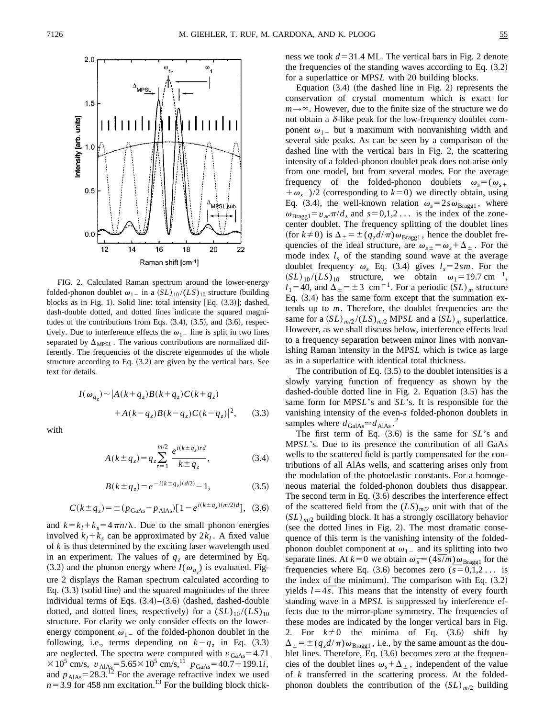

FIG. 2. Calculated Raman spectrum around the lower-energy folded-phonon doublet  $\omega_{1}$  in a  $(SL)_{10} / (LS)_{10}$  structure (building blocks as in Fig. 1). Solid line: total intensity  $[Eq. (3.3)]$ ; dashed, dash-double dotted, and dotted lines indicate the squared magnitudes of the contributions from Eqs.  $(3.4)$ ,  $(3.5)$ , and  $(3.6)$ , respectively. Due to interference effects the  $\omega_1$  line is split in two lines separated by  $\Delta_{MPSL}$ . The various contributions are normalized differently. The frequencies of the discrete eigenmodes of the whole structure according to Eq.  $(3.2)$  are given by the vertical bars. See text for details.

$$
I(\omega_{q_z}) \sim |A(k+q_z)B(k+q_z)C(k+q_z)
$$
  
+
$$
+A(k-q_z)B(k-q_z)C(k-q_z)|^2,
$$
 (3.3)

with

$$
A(k \pm q_z) = q_z \sum_{r=1}^{m/2} \frac{e^{i(k \pm q_z)rd}}{k \pm q_z},
$$
 (3.4)

$$
B(k \pm q_z) = e^{-i(k \pm q_z)(d/2)} - 1,\tag{3.5}
$$

$$
C(k \pm q_z) = \pm (p_{\text{GaAs}} - p_{\text{AlAs}}) [1 - e^{i(k \pm q_z)(m/2)d}], \tag{3.6}
$$

and  $k = k_l + k_s = 4 \pi n / \lambda$ . Due to the small phonon energies involved  $k_l + k_s$  can be approximated by  $2k_l$ . A fixed value of *k* is thus determined by the exciting laser wavelength used in an experiment. The values of  $q<sub>z</sub>$  are determined by Eq. (3.2) and the phonon energy where  $I(\omega_{q_z})$  is evaluated. Figure 2 displays the Raman spectrum calculated according to Eq.  $(3.3)$  (solid line) and the squared magnitudes of the three individual terms of Eqs.  $(3.4)$ – $(3.6)$  (dashed, dashed-double dotted, and dotted lines, respectively) for a  $(SL)_{10}/(LS)_{10}$ structure. For clarity we only consider effects on the lowerenergy component  $\omega_{1-}$  of the folded-phonon doublet in the following, i.e., terms depending on  $k - q_z$  in Eq. (3.3) are neglected. The spectra were computed with  $v_{\text{GaAs}} = 4.71$  $\times 10^5$  cm/s,  $v_{AIAs} = 5.65 \times 10^5$  cm/s,<sup>11</sup>  $p_{GaAs} = 40.7 + 199.1i$ , and  $p_{\text{AlAs}} = 28.3$ <sup>12</sup> For the average refractive index we used  $n=3.9$  for 458 nm excitation.<sup>13</sup> For the building block thickness we took  $d=31.4$  ML. The vertical bars in Fig. 2 denote the frequencies of the standing waves according to Eq.  $(3.2)$ for a superlattice or MP*SL* with 20 building blocks.

Equation  $(3.4)$  (the dashed line in Fig. 2) represents the conservation of crystal momentum which is exact for  $m \rightarrow \infty$ . However, due to the finite size of the structure we do not obtain a  $\delta$ -like peak for the low-frequency doublet component  $\omega_{1}$  but a maximum with nonvanishing width and several side peaks. As can be seen by a comparison of the dashed line with the vertical bars in Fig. 2, the scattering intensity of a folded-phonon doublet peak does not arise only from one model, but from several modes. For the average frequency of the folded-phonon doublets  $\omega_s = (\omega_{s+1})$  $+\omega_{s-}$ )/2 (corresponding to  $k=0$ ) we directly obtain, using Eq. (3.4), the well-known relation  $\omega_s = 2 s \omega_{\text{Bragg1}}$ , where  $\omega_{\text{Bragg1}}=v_{\text{ac}}\pi/d$ , and  $s=0,1,2...$  is the index of the zonecenter doublet. The frequency splitting of the doublet lines (for  $k\neq 0$ ) is  $\Delta_{\pm} = \pm (q_z d/\pi) \omega_{\text{Bragg1}}$ , hence the doublet frequencies of the ideal structure, are  $\omega_{s+} = \omega_s + \Delta_+$ . For the mode index  $l_s$  of the standing sound wave at the average doublet frequency  $\omega_s$  Eq. (3.4) gives  $l_s = 2 s m$ . For the  $(SL)_{10} / (LS)_{10}$  structure, we obtain  $\omega_1 = 19.7 \text{ cm}^{-1}$ ,  $l_1$ =40, and  $\Delta_{\pm}$  =  $\pm$  3 cm<sup>-1</sup>. For a periodic (*SL*)<sub>*m*</sub> structure Eq.  $(3.4)$  has the same form except that the summation extends up to *m*. Therefore, the doublet frequencies are the same for a  $(SL)_{m/2} / (LS)_{m/2}$  MP*SL* and a  $(SL)_{m}$  superlattice. However, as we shall discuss below, interference effects lead to a frequency separation between minor lines with nonvanishing Raman intensity in the MP*SL* which is twice as large as in a superlattice with identical total thickness.

The contribution of Eq.  $(3.5)$  to the doublet intensities is a slowly varying function of frequency as shown by the dashed-double dotted line in Fig. 2. Equation  $(3.5)$  has the same form for MP*SL*'s and *SL*'s. It is responsible for the vanishing intensity of the even-*s* folded-phonon doublets in samples where  $d_{\text{GalAs}} \simeq d_{\text{AlAs}}$ . 2

The first term of Eq.  $(3.6)$  is the same for  $SL$ 's and MP*SL*'s. Due to its presence the contribution of all GaAs wells to the scattered field is partly compensated for the contributions of all AlAs wells, and scattering arises only from the modulation of the photoelastic constants. For a homogeneous material the folded-phonon doublets thus disappear. The second term in Eq.  $(3.6)$  describes the interference effect of the scattered field from the  $(LS)_{m/2}$  unit with that of the  $(SL)_{m/2}$  building block. It has a strongly oscillatory behavior  $(see the dotted lines in Fig. 2).$  The most dramatic consequence of this term is the vanishing intensity of the foldedphonon doublet component at  $\omega_{1-}$  and its splitting into two phonon doublet component at  $\omega_{1-}$  and its splitting into two separate lines. At  $k=0$  we obtain  $\omega_{\bar{s}} = (4\bar{s}/m)\omega_{\text{Bragg1}}$  for the separate lines. At  $k=0$  we obtain  $\omega_{\bar{s}} = (4s/m) \omega_{\text{Bragg1}}$  for the frequencies where Eq. (3.6) becomes zero ( $\bar{s} = 0,1,2...$  is the index of the minimum). The comparison with Eq.  $(3.2)$ the index of the minimum). The comparison with Eq.  $(3.2)$ <br>yields  $l = 4\bar{s}$ . This means that the intensity of every fourth standing wave in a MP*SL* is suppressed by interference effects due to the mirror-plane symmetry. The frequencies of these modes are indicated by the longer vertical bars in Fig. 2. For  $k\neq 0$  the minima of Eq.  $(3.6)$  shift by  $\Delta_{\pm} = \pm (q_z d/\pi) \omega_{\text{Bragg1}}$ , i.e., by the same amount as the doublet lines. Therefore,  $Eq. (3.6)$  becomes zero at the frequencies of the doublet lines  $\omega_s + \Delta_{\pm}$ , independent of the value of *k* transferred in the scattering process. At the foldedphonon doublets the contribution of the  $(SL)_{m/2}$  building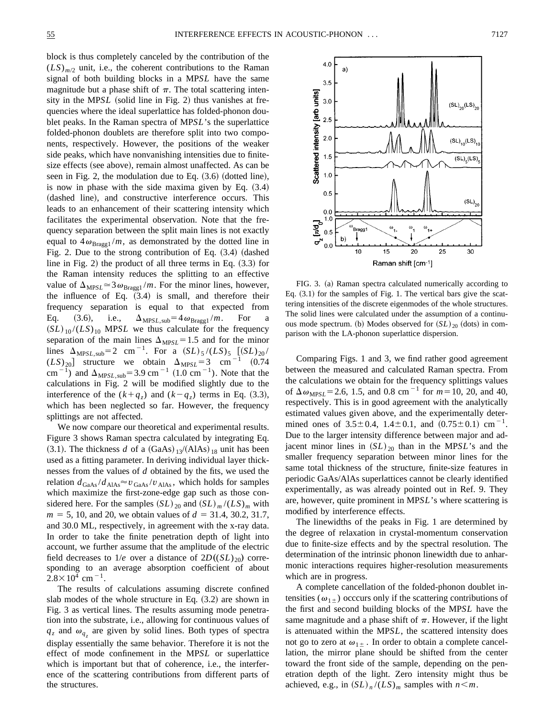block is thus completely canceled by the contribution of the  $(LS)_{m/2}$  unit, i.e., the coherent contributions to the Raman signal of both building blocks in a MP*SL* have the same magnitude but a phase shift of  $\pi$ . The total scattering intensity in the MP*SL* (solid line in Fig. 2) thus vanishes at frequencies where the ideal superlattice has folded-phonon doublet peaks. In the Raman spectra of MP*SL*'s the superlattice folded-phonon doublets are therefore split into two components, respectively. However, the positions of the weaker side peaks, which have nonvanishing intensities due to finitesize effects (see above), remain almost unaffected. As can be seen in Fig. 2, the modulation due to Eq.  $(3.6)$  (dotted line), is now in phase with the side maxima given by Eq.  $(3.4)$ (dashed line), and constructive interference occurs. This leads to an enhancement of their scattering intensity which facilitates the experimental observation. Note that the frequency separation between the split main lines is not exactly equal to  $4\omega_{\text{Bragg1}}/m$ , as demonstrated by the dotted line in Fig. 2. Due to the strong contribution of Eq.  $(3.4)$  (dashed line in Fig. 2) the product of all three terms in Eq.  $(3.3)$  for the Raman intensity reduces the splitting to an effective value of  $\Delta_{MPSL} \approx 3 \omega_{Bragg1}/m$ . For the minor lines, however, the influence of Eq.  $(3.4)$  is small, and therefore their frequency separation is equal to that expected from Eq. (3.6), i.e.,  $\Delta_{MPSL,sub} = 4 \omega_{Bragg1} / m$ . For  $(SL)_{10} / (LS)_{10}$  MP*SL* we thus calculate for the frequency separation of the main lines  $\Delta_{MPSL}$ =1.5 and for the minor lines  $\Delta_{MPSL,sub} = 2$  cm<sup>-1</sup>. For a  $(SL)_{5}/(LS)_{5}$   $[(SL)_{20}/$  $(LS)_{20}$  structure we obtain  $\Delta_{MPSL} = 3$  cm<sup>-1</sup> (0.74) cm<sup>-1</sup>) and  $\Delta_{MPSL,sub}$ =3.9 cm<sup>-1</sup> (1.0 cm<sup>-1</sup>). Note that the calculations in Fig. 2 will be modified slightly due to the interference of the  $(k+q_z)$  and  $(k-q_z)$  terms in Eq. (3.3), which has been neglected so far. However, the frequency splittings are not affected.

We now compare our theoretical and experimental results. Figure 3 shows Raman spectra calculated by integrating Eq.  $(3.1)$ . The thickness *d* of a  $(GaAs)_{13}/(A1As)_{18}$  unit has been used as a fitting parameter. In deriving individual layer thicknesses from the values of *d* obtained by the fits, we used the relation  $d_{\text{GaAs}}/d_{\text{AlAs}} \approx v_{\text{GaAs}}/v_{\text{AlAs}}$ , which holds for samples which maximize the first-zone-edge gap such as those considered here. For the samples  $(SL)_{20}$  and  $(SL)_{m}/(LS)_{m}$  with  $m = 5$ , 10, and 20, we obtain values of  $d = 31.4, 30.2, 31.7$ , and 30.0 ML, respectively, in agreement with the x-ray data. In order to take the finite penetration depth of light into account, we further assume that the amplitude of the electric field decreases to  $1/e$  over a distance of  $2D((SL)_{20})$  corresponding to an average absorption coefficient of about  $2.8 \times 10^4$  cm<sup>-1</sup>.

The results of calculations assuming discrete confined slab modes of the whole structure in Eq.  $(3.2)$  are shown in Fig. 3 as vertical lines. The results assuming mode penetration into the substrate, i.e., allowing for continuous values of  $q_z$  and  $\omega_{q_z}$  are given by solid lines. Both types of spectra display essentially the same behavior. Therefore it is not the effect of mode confinement in the MP*SL* or superlattice which is important but that of coherence, i.e., the interference of the scattering contributions from different parts of the structures.



FIG. 3. (a) Raman spectra calculated numerically according to Eq.  $(3.1)$  for the samples of Fig. 1. The vertical bars give the scattering intensities of the discrete eigenmodes of the whole structures. The solid lines were calculated under the assumption of a continuous mode spectrum. (b) Modes observed for  $(SL)_{20}$  (dots) in comparison with the LA-phonon superlattice dispersion.

Comparing Figs. 1 and 3, we find rather good agreement between the measured and calculated Raman spectra. From the calculations we obtain for the frequency splittings values of  $\Delta \omega_{MPSL}$  = 2.6, 1.5, and 0.8 cm<sup>-1</sup> for  $m$  = 10, 20, and 40, respectively. This is in good agreement with the analytically estimated values given above, and the experimentally determined ones of  $3.5 \pm 0.4$ ,  $1.4 \pm 0.1$ , and  $(0.75 \pm 0.1)$  cm<sup>-1</sup>. Due to the larger intensity difference between major and adjacent minor lines in  $(SL)_{20}$  than in the MP*SL*'s and the smaller frequency separation between minor lines for the same total thickness of the structure, finite-size features in periodic GaAs/AlAs superlattices cannot be clearly identified experimentally, as was already pointed out in Ref. 9. They are, however, quite prominent in MP*SL*'s where scattering is modified by interference effects.

The linewidths of the peaks in Fig. 1 are determined by the degree of relaxation in crystal-momentum conservation due to finite-size effects and by the spectral resolution. The determination of the intrinsic phonon linewidth due to anharmonic interactions requires higher-resolution measurements which are in progress.

A complete cancellation of the folded-phonon doublet intensities ( $\omega_{1\pm}$ ) occcurs only if the scattering contributions of the first and second building blocks of the MP*SL* have the same magnitude and a phase shift of  $\pi$ . However, if the light is attenuated within the MP*SL*, the scattered intensity does not go to zero at  $\omega_{1\pm}$ . In order to obtain a complete cancellation, the mirror plane should be shifted from the center toward the front side of the sample, depending on the penetration depth of the light. Zero intensity might thus be achieved, e.g., in  $(SL)_n / (LS)_m$  samples with  $n \le m$ .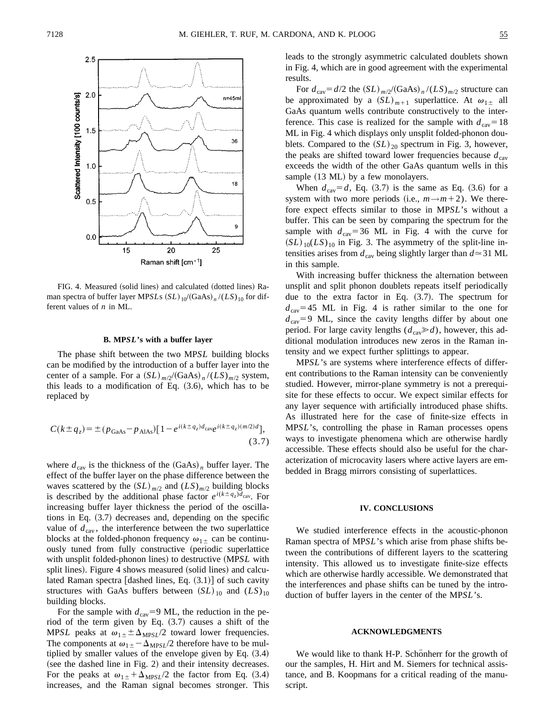

FIG. 4. Measured (solid lines) and calculated (dotted lines) Raman spectra of buffer layer MP*SL*s  $(SL)_{10}/(GaAs)_{n}/(LS)_{10}$  for different values of *n* in ML.

## **B. MP***SL***'s with a buffer layer**

The phase shift between the two MP*SL* building blocks can be modified by the introduction of a buffer layer into the center of a sample. For a  $(SL)_{m/2}/(GaAs)_{n}/(LS)_{m/2}$  system, this leads to a modification of Eq.  $(3.6)$ , which has to be replaced by

$$
C(k \pm q_z) = \pm (p_{\text{GaAs}} - p_{\text{AlAs}}) [1 - e^{i(k \pm q_z) d_{\text{cave}} i(k \pm q_z) (m/2) d}],
$$
\n(3.7)

where  $d_{\text{cav}}$  is the thickness of the  $(GaAs)$  *n* buffer layer. The effect of the buffer layer on the phase difference between the waves scattered by the  $(SL)_{m/2}$  and  $(LS)_{m/2}$  building blocks is described by the additional phase factor  $e^{i(k \pm q_z) d_{\text{cav}}}.$  For increasing buffer layer thickness the period of the oscillations in Eq.  $(3.7)$  decreases and, depending on the specific value of  $d_{\text{cav}}$ , the interference between the two superlattice blocks at the folded-phonon frequency  $\omega_{1\pm}$  can be continuously tuned from fully constructive (periodic superlattice with unsplit folded-phonon lines) to destructive (MP*SL* with split lines). Figure 4 shows measured (solid lines) and calculated Raman spectra [dashed lines, Eq.  $(3.1)$ ] of such cavity structures with GaAs buffers between  $(SL)_{10}$  and  $(LS)_{10}$ building blocks.

For the sample with  $d_{\text{cav}}=9$  ML, the reduction in the period of the term given by Eq.  $(3.7)$  causes a shift of the MP*SL* peaks at  $\omega_{1\pm} \pm \Delta_{MPSL}/2$  toward lower frequencies. The components at  $\omega_{1\pm} - \Delta_{MPSL}/2$  therefore have to be multiplied by smaller values of the envelope given by Eq.  $(3.4)$  $($ see the dashed line in Fig. 2 $)$  and their intensity decreases. For the peaks at  $\omega_{1\pm} + \Delta_{MPSL}/2$  the factor from Eq. (3.4) increases, and the Raman signal becomes stronger. This leads to the strongly asymmetric calculated doublets shown in Fig. 4, which are in good agreement with the experimental results.

For  $d_{\text{cav}} = d/2$  the  $(SL)_{m/2}/(GaAs)_{n}/(LS)_{m/2}$  structure can be approximated by a  $(SL)_{m+1}$  superlattice. At  $\omega_{1\pm}$  all GaAs quantum wells contribute constructively to the interference. This case is realized for the sample with  $d_{\text{cav}}=18$ ML in Fig. 4 which displays only unsplit folded-phonon doublets. Compared to the  $(SL)_{20}$  spectrum in Fig. 3, however, the peaks are shifted toward lower frequencies because  $d_{\text{cav}}$ exceeds the width of the other GaAs quantum wells in this sample  $(13 \text{ ML})$  by a few monolayers.

When  $d_{\text{cav}} = d$ , Eq. (3.7) is the same as Eq. (3.6) for a system with two more periods (i.e.,  $m \rightarrow m+2$ ). We therefore expect effects similar to those in MP*SL*'s without a buffer. This can be seen by comparing the spectrum for the sample with  $d_{\text{cav}}=36$  ML in Fig. 4 with the curve for  $(SL)_{10}(LS)_{10}$  in Fig. 3. The asymmetry of the split-line intensities arises from  $d_{\text{cav}}$  being slightly larger than  $d \approx 31 \text{ ML}$ in this sample.

With increasing buffer thickness the alternation between unsplit and split phonon doublets repeats itself periodically due to the extra factor in Eq.  $(3.7)$ . The spectrum for  $d_{\text{cav}}=45$  ML in Fig. 4 is rather similar to the one for  $d_{\text{cav}}=9$  ML, since the cavity lengths differ by about one period. For large cavity lengths  $(d_{\text{cav}} \ge d)$ , however, this additional modulation introduces new zeros in the Raman intensity and we expect further splittings to appear.

MP*SL*'s are systems where interference effects of different contributions to the Raman intensity can be conveniently studied. However, mirror-plane symmetry is not a prerequisite for these effects to occur. We expect similar effects for any layer sequence with artificially introduced phase shifts. As illustrated here for the case of finite-size effects in MP*SL*'s, controlling the phase in Raman processes opens ways to investigate phenomena which are otherwise hardly accessible. These effects should also be useful for the characterization of microcavity lasers where active layers are embedded in Bragg mirrors consisting of superlattices.

#### **IV. CONCLUSIONS**

We studied interference effects in the acoustic-phonon Raman spectra of MP*SL*'s which arise from phase shifts between the contributions of different layers to the scattering intensity. This allowed us to investigate finite-size effects which are otherwise hardly accessible. We demonstrated that the interferences and phase shifts can be tuned by the introduction of buffer layers in the center of the MP*SL*'s.

## **ACKNOWLEDGMENTS**

We would like to thank H-P. Schönherr for the growth of our the samples, H. Hirt and M. Siemers for technical assistance, and B. Koopmans for a critical reading of the manuscript.